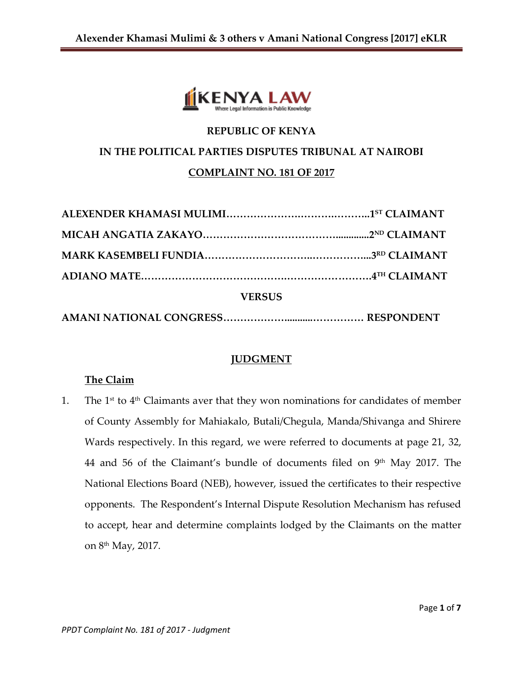

## **REPUBLIC OF KENYA**

#### **IN THE POLITICAL PARTIES DISPUTES TRIBUNAL AT NAIROBI**

### **COMPLAINT NO. 181 OF 2017**

| <b>VERSUS</b> |  |
|---------------|--|
|               |  |

### **JUDGMENT**

### **The Claim**

1. The  $1^{st}$  to  $4^{th}$  Claimants aver that they won nominations for candidates of member of County Assembly for Mahiakalo, Butali/Chegula, Manda/Shivanga and Shirere Wards respectively. In this regard, we were referred to documents at page 21, 32, 44 and 56 of the Claimant's bundle of documents filed on 9th May 2017. The National Elections Board (NEB), however, issued the certificates to their respective opponents. The Respondent's Internal Dispute Resolution Mechanism has refused to accept, hear and determine complaints lodged by the Claimants on the matter on 8th May, 2017.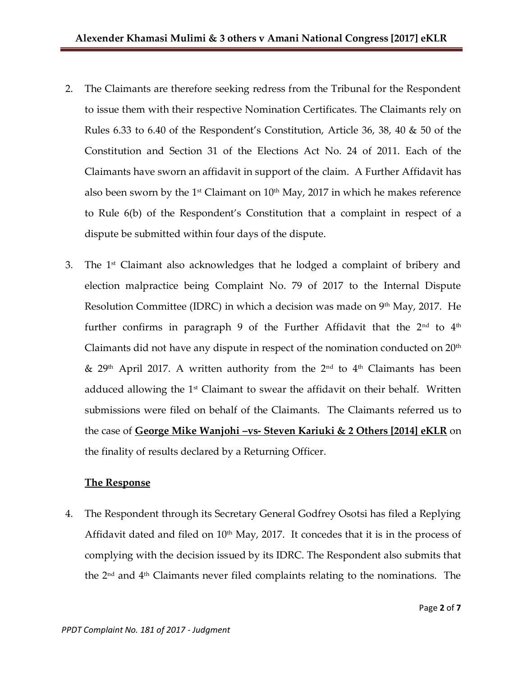- 2. The Claimants are therefore seeking redress from the Tribunal for the Respondent to issue them with their respective Nomination Certificates. The Claimants rely on Rules 6.33 to 6.40 of the Respondent's Constitution, Article 36, 38, 40 & 50 of the Constitution and Section 31 of the Elections Act No. 24 of 2011. Each of the Claimants have sworn an affidavit in support of the claim. A Further Affidavit has also been sworn by the 1<sup>st</sup> Claimant on  $10<sup>th</sup>$  May, 2017 in which he makes reference to Rule 6(b) of the Respondent's Constitution that a complaint in respect of a dispute be submitted within four days of the dispute.
- 3. The  $1<sup>st</sup>$  Claimant also acknowledges that he lodged a complaint of bribery and election malpractice being Complaint No. 79 of 2017 to the Internal Dispute Resolution Committee (IDRC) in which a decision was made on 9<sup>th</sup> May, 2017. He further confirms in paragraph 9 of the Further Affidavit that the  $2<sup>nd</sup>$  to  $4<sup>th</sup>$ Claimants did not have any dispute in respect of the nomination conducted on  $20<sup>th</sup>$ & 29<sup>th</sup> April 2017. A written authority from the 2<sup>nd</sup> to 4<sup>th</sup> Claimants has been adduced allowing the  $1<sup>st</sup>$  Claimant to swear the affidavit on their behalf. Written submissions were filed on behalf of the Claimants. The Claimants referred us to the case of **George Mike Wanjohi –vs- Steven Kariuki & 2 Others [2014] eKLR** on the finality of results declared by a Returning Officer.

# **The Response**

4. The Respondent through its Secretary General Godfrey Osotsi has filed a Replying Affidavit dated and filed on  $10<sup>th</sup>$  May, 2017. It concedes that it is in the process of complying with the decision issued by its IDRC. The Respondent also submits that the 2nd and 4th Claimants never filed complaints relating to the nominations. The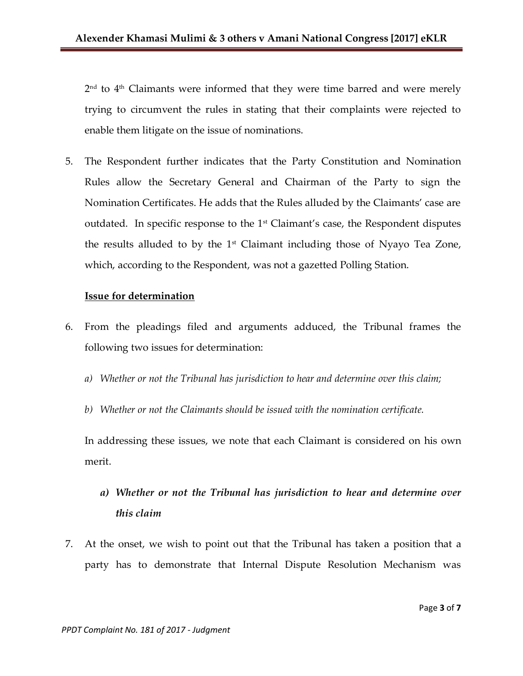2<sup>nd</sup> to 4<sup>th</sup> Claimants were informed that they were time barred and were merely trying to circumvent the rules in stating that their complaints were rejected to enable them litigate on the issue of nominations.

5. The Respondent further indicates that the Party Constitution and Nomination Rules allow the Secretary General and Chairman of the Party to sign the Nomination Certificates. He adds that the Rules alluded by the Claimants' case are outdated. In specific response to the  $1<sup>st</sup>$  Claimant's case, the Respondent disputes the results alluded to by the  $1<sup>st</sup>$  Claimant including those of Nyayo Tea Zone, which, according to the Respondent, was not a gazetted Polling Station.

#### **Issue for determination**

- 6. From the pleadings filed and arguments adduced, the Tribunal frames the following two issues for determination:
	- *a) Whether or not the Tribunal has jurisdiction to hear and determine over this claim;*
	- *b) Whether or not the Claimants should be issued with the nomination certificate.*

In addressing these issues, we note that each Claimant is considered on his own merit.

- *a) Whether or not the Tribunal has jurisdiction to hear and determine over this claim*
- 7. At the onset, we wish to point out that the Tribunal has taken a position that a party has to demonstrate that Internal Dispute Resolution Mechanism was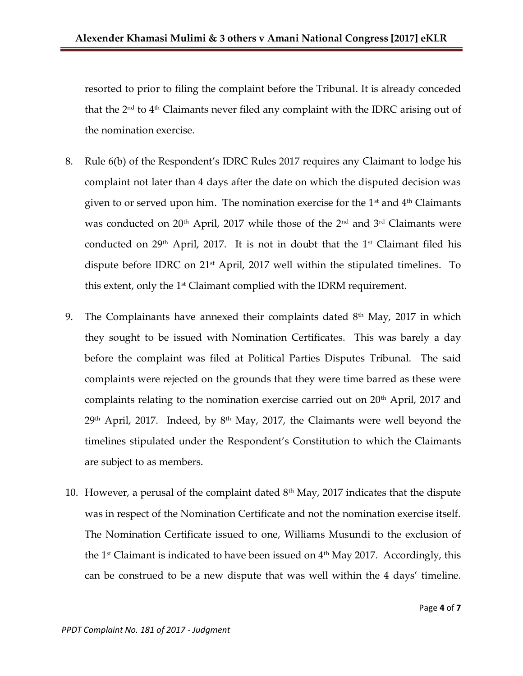resorted to prior to filing the complaint before the Tribunal. It is already conceded that the 2nd to 4th Claimants never filed any complaint with the IDRC arising out of the nomination exercise.

- 8. Rule 6(b) of the Respondent's IDRC Rules 2017 requires any Claimant to lodge his complaint not later than 4 days after the date on which the disputed decision was given to or served upon him. The nomination exercise for the  $1<sup>st</sup>$  and  $4<sup>th</sup>$  Claimants was conducted on  $20<sup>th</sup>$  April, 2017 while those of the  $2<sup>nd</sup>$  and  $3<sup>rd</sup>$  Claimants were conducted on  $29<sup>th</sup>$  April, 2017. It is not in doubt that the 1<sup>st</sup> Claimant filed his dispute before IDRC on  $21<sup>st</sup>$  April, 2017 well within the stipulated timelines. To this extent, only the 1st Claimant complied with the IDRM requirement.
- 9. The Complainants have annexed their complaints dated  $8<sup>th</sup>$  May, 2017 in which they sought to be issued with Nomination Certificates. This was barely a day before the complaint was filed at Political Parties Disputes Tribunal. The said complaints were rejected on the grounds that they were time barred as these were complaints relating to the nomination exercise carried out on 20th April, 2017 and  $29<sup>th</sup>$  April, 2017. Indeed, by  $8<sup>th</sup>$  May, 2017, the Claimants were well beyond the timelines stipulated under the Respondent's Constitution to which the Claimants are subject to as members.
- 10. However, a perusal of the complaint dated  $8<sup>th</sup>$  May, 2017 indicates that the dispute was in respect of the Nomination Certificate and not the nomination exercise itself. The Nomination Certificate issued to one, Williams Musundi to the exclusion of the  $1<sup>st</sup>$  Claimant is indicated to have been issued on  $4<sup>th</sup>$  May 2017. Accordingly, this can be construed to be a new dispute that was well within the 4 days' timeline.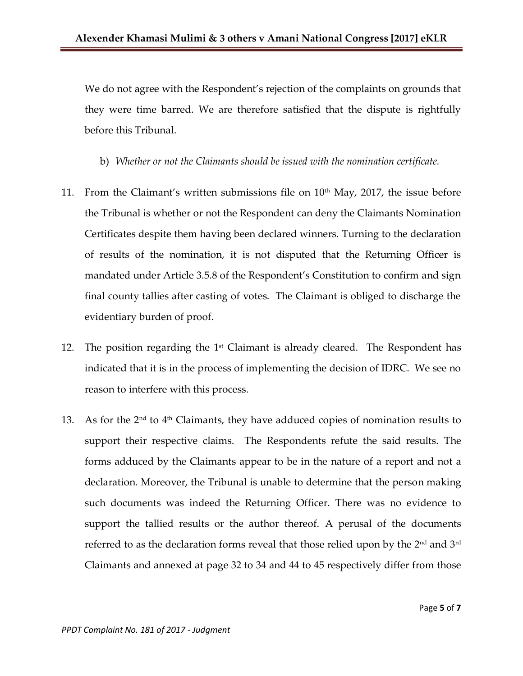We do not agree with the Respondent's rejection of the complaints on grounds that they were time barred. We are therefore satisfied that the dispute is rightfully before this Tribunal.

b) *Whether or not the Claimants should be issued with the nomination certificate.*

- 11. From the Claimant's written submissions file on  $10<sup>th</sup>$  May, 2017, the issue before the Tribunal is whether or not the Respondent can deny the Claimants Nomination Certificates despite them having been declared winners. Turning to the declaration of results of the nomination, it is not disputed that the Returning Officer is mandated under Article 3.5.8 of the Respondent's Constitution to confirm and sign final county tallies after casting of votes. The Claimant is obliged to discharge the evidentiary burden of proof.
- 12. The position regarding the  $1<sup>st</sup>$  Claimant is already cleared. The Respondent has indicated that it is in the process of implementing the decision of IDRC. We see no reason to interfere with this process.
- 13. As for the  $2<sup>nd</sup>$  to  $4<sup>th</sup>$  Claimants, they have adduced copies of nomination results to support their respective claims. The Respondents refute the said results. The forms adduced by the Claimants appear to be in the nature of a report and not a declaration. Moreover, the Tribunal is unable to determine that the person making such documents was indeed the Returning Officer. There was no evidence to support the tallied results or the author thereof. A perusal of the documents referred to as the declaration forms reveal that those relied upon by the 2 $^{\rm{nd}}$  and 3 $^{\rm{rd}}$ Claimants and annexed at page 32 to 34 and 44 to 45 respectively differ from those